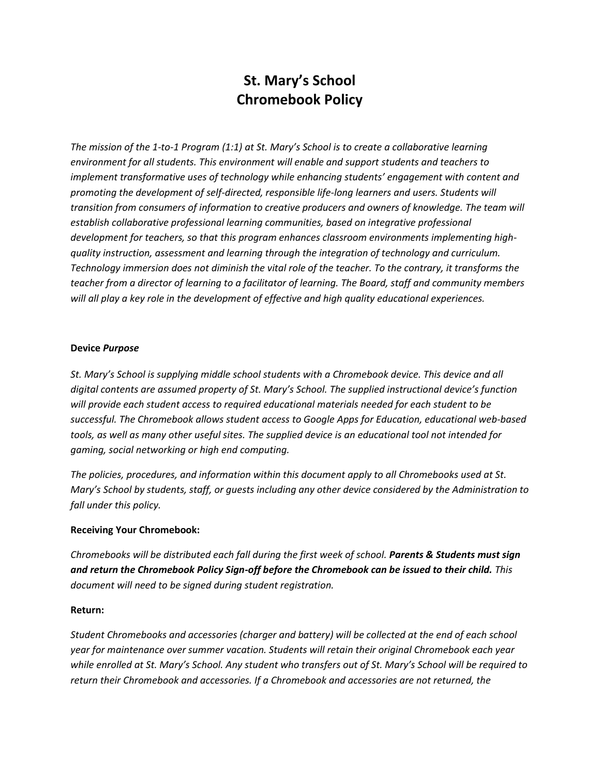# **St. Mary's School Chromebook Policy**

*The mission of the 1-to-1 Program (1:1) at St. Mary's School is to create a collaborative learning environment for all students. This environment will enable and support students and teachers to implement transformative uses of technology while enhancing students' engagement with content and promoting the development of self-directed, responsible life-long learners and users. Students will transition from consumers of information to creative producers and owners of knowledge. The team will establish collaborative professional learning communities, based on integrative professional development for teachers, so that this program enhances classroom environments implementing highquality instruction, assessment and learning through the integration of technology and curriculum. Technology immersion does not diminish the vital role of the teacher. To the contrary, it transforms the teacher from a director of learning to a facilitator of learning. The Board, staff and community members will all play a key role in the development of effective and high quality educational experiences.*

## **Device** *Purpose*

*St. Mary's School is supplying middle school students with a Chromebook device. This device and all digital contents are assumed property of St. Mary's School. The supplied instructional device's function will provide each student access to required educational materials needed for each student to be successful. The Chromebook allows student access to Google Apps for Education, educational web-based tools, as well as many other useful sites. The supplied device is an educational tool not intended for gaming, social networking or high end computing.*

*The policies, procedures, and information within this document apply to all Chromebooks used at St. Mary's School by students, staff, or guests including any other device considered by the Administration to fall under this policy.*

# **Receiving Your Chromebook:**

*Chromebooks will be distributed each fall during the first week of school. Parents & Students must sign and return the Chromebook Policy Sign-off before the Chromebook can be issued to their child. This document will need to be signed during student registration.*

## **Return:**

*Student Chromebooks and accessories (charger and battery) will be collected at the end of each school year for maintenance over summer vacation. Students will retain their original Chromebook each year while enrolled at St. Mary's School. Any student who transfers out of St. Mary's School will be required to return their Chromebook and accessories. If a Chromebook and accessories are not returned, the*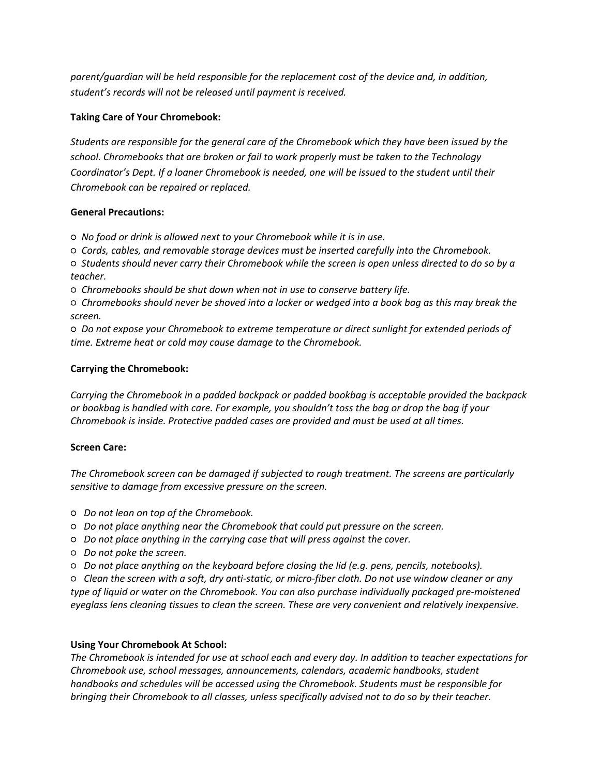*parent/guardian will be held responsible for the replacement cost of the device and, in addition, student's records will not be released until payment is received.*

# **Taking Care of Your Chromebook:**

*Students are responsible for the general care of the Chromebook which they have been issued by the school. Chromebooks that are broken or fail to work properly must be taken to the Technology Coordinator's Dept. If a loaner Chromebook is needed, one will be issued to the student until their Chromebook can be repaired or replaced.*

## **General Precautions:**

*○ No food or drink is allowed next to your Chromebook while it is in use.* 

*○ Cords, cables, and removable storage devices must be inserted carefully into the Chromebook.* 

*○ Students should never carry their Chromebook while the screen is open unless directed to do so by a teacher.* 

*○ Chromebooks should be shut down when not in use to conserve battery life.* 

*○ Chromebooks should never be shoved into a locker or wedged into a book bag as this may break the screen.* 

*○ Do not expose your Chromebook to extreme temperature or direct sunlight for extended periods of time. Extreme heat or cold may cause damage to the Chromebook.* 

## **Carrying the Chromebook:**

*Carrying the Chromebook in a padded backpack or padded bookbag is acceptable provided the backpack or bookbag is handled with care. For example, you shouldn't toss the bag or drop the bag if your Chromebook is inside. Protective padded cases are provided and must be used at all times.*

## **Screen Care:**

*The Chromebook screen can be damaged if subjected to rough treatment. The screens are particularly sensitive to damage from excessive pressure on the screen.* 

- *Do not lean on top of the Chromebook.*
- *○ Do not place anything near the Chromebook that could put pressure on the screen.*
- *○ Do not place anything in the carrying case that will press against the cover.*
- *○ Do not poke the screen.*
- *○ Do not place anything on the keyboard before closing the lid (e.g. pens, pencils, notebooks).*

*○ Clean the screen with a soft, dry anti-static, or micro-fiber cloth. Do not use window cleaner or any type of liquid or water on the Chromebook. You can also purchase individually packaged pre-moistened eyeglass lens cleaning tissues to clean the screen. These are very convenient and relatively inexpensive.*

## **Using Your Chromebook At School:**

*The Chromebook is intended for use at school each and every day. In addition to teacher expectations for Chromebook use, school messages, announcements, calendars, academic handbooks, student handbooks and schedules will be accessed using the Chromebook. Students must be responsible for bringing their Chromebook to all classes, unless specifically advised not to do so by their teacher.*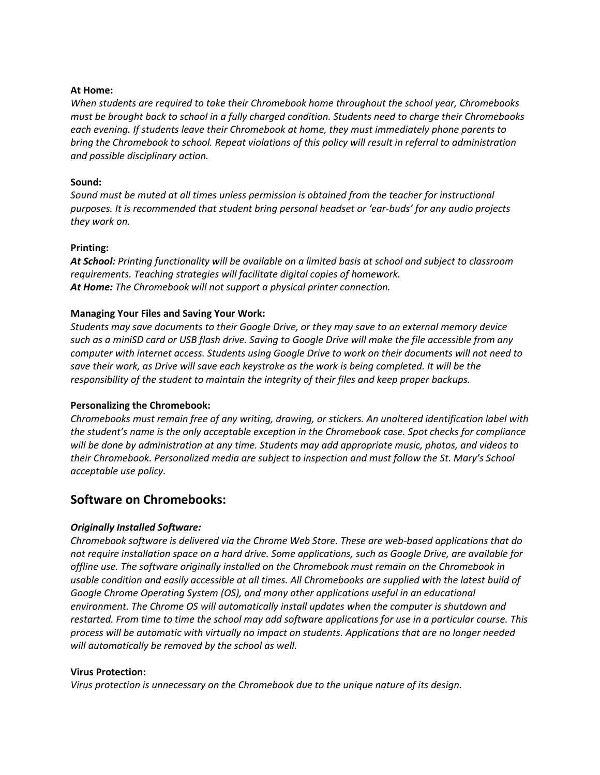#### **At Home:**

*When students are required to take their Chromebook home throughout the school year, Chromebooks must be brought back to school in a fully charged condition. Students need to charge their Chromebooks each evening. If students leave their Chromebook at home, they must immediately phone parents to bring the Chromebook to school. Repeat violations of this policy will result in referral to administration and possible disciplinary action.*

#### **Sound:**

*Sound must be muted at all times unless permission is obtained from the teacher for instructional purposes. It is recommended that student bring personal headset or 'ear-buds' for any audio projects they work on.* 

#### **Printing:**

*At School: Printing functionality will be available on a limited basis at school and subject to classroom requirements. Teaching strategies will facilitate digital copies of homework. At Home: The Chromebook will not support a physical printer connection.*

## **Managing Your Files and Saving Your Work:**

*Students may save documents to their Google Drive, or they may save to an external memory device such as a miniSD card or USB flash drive. Saving to Google Drive will make the file accessible from any computer with internet access. Students using Google Drive to work on their documents will not need to save their work, as Drive will save each keystroke as the work is being completed. It will be the responsibility of the student to maintain the integrity of their files and keep proper backups.*

#### **Personalizing the Chromebook:**

*Chromebooks must remain free of any writing, drawing, or stickers. An unaltered identification label with the student's name is the only acceptable exception in the Chromebook case. Spot checks for compliance will be done by administration at any time. Students may add appropriate music, photos, and videos to their Chromebook. Personalized media are subject to inspection and must follow the St. Mary's School acceptable use policy.*

# **Software on Chromebooks:**

## *Originally Installed Software:*

*Chromebook software is delivered via the Chrome Web Store. These are web-based applications that do not require installation space on a hard drive. Some applications, such as Google Drive, are available for offline use. The software originally installed on the Chromebook must remain on the Chromebook in usable condition and easily accessible at all times. All Chromebooks are supplied with the latest build of Google Chrome Operating System (OS), and many other applications useful in an educational environment. The Chrome OS will automatically install updates when the computer is shutdown and restarted. From time to time the school may add software applications for use in a particular course. This process will be automatic with virtually no impact on students. Applications that are no longer needed will automatically be removed by the school as well.*

#### **Virus Protection:**

*Virus protection is unnecessary on the Chromebook due to the unique nature of its design.*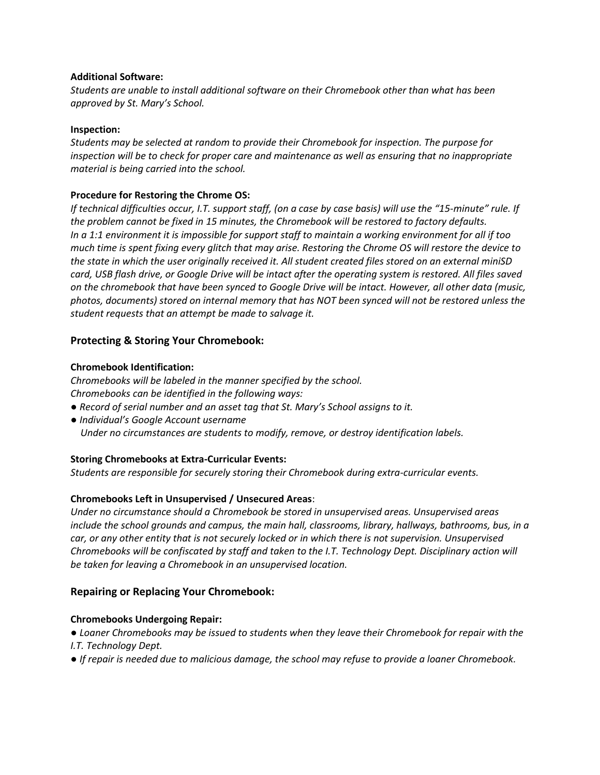## **Additional Software:**

*Students are unable to install additional software on their Chromebook other than what has been approved by St. Mary's School.*

#### **Inspection:**

*Students may be selected at random to provide their Chromebook for inspection. The purpose for inspection will be to check for proper care and maintenance as well as ensuring that no inappropriate material is being carried into the school.*

## **Procedure for Restoring the Chrome OS:**

*If technical difficulties occur, I.T. support staff, (on a case by case basis) will use the "15-minute" rule. If the problem cannot be fixed in 15 minutes, the Chromebook will be restored to factory defaults. In a 1:1 environment it is impossible for support staff to maintain a working environment for all if too much time is spent fixing every glitch that may arise. Restoring the Chrome OS will restore the device to the state in which the user originally received it. All student created files stored on an external miniSD card, USB flash drive, or Google Drive will be intact after the operating system is restored. All files saved on the chromebook that have been synced to Google Drive will be intact. However, all other data (music, photos, documents) stored on internal memory that has NOT been synced will not be restored unless the student requests that an attempt be made to salvage it.*

## **Protecting & Storing Your Chromebook:**

#### **Chromebook Identification:**

*Chromebooks will be labeled in the manner specified by the school. Chromebooks can be identified in the following ways:*

- *Record of serial number and an asset tag that St. Mary's School assigns to it.*
- *Individual's Google Account username Under no circumstances are students to modify, remove, or destroy identification labels.*

## **Storing Chromebooks at Extra-Curricular Events:**

*Students are responsible for securely storing their Chromebook during extra-curricular events.*

## **Chromebooks Left in Unsupervised / Unsecured Areas**:

*Under no circumstance should a Chromebook be stored in unsupervised areas. Unsupervised areas include the school grounds and campus, the main hall, classrooms, library, hallways, bathrooms, bus, in a car, or any other entity that is not securely locked or in which there is not supervision. Unsupervised Chromebooks will be confiscated by staff and taken to the I.T. Technology Dept. Disciplinary action will be taken for leaving a Chromebook in an unsupervised location.*

## **Repairing or Replacing Your Chromebook:**

#### **Chromebooks Undergoing Repair:**

*● Loaner Chromebooks may be issued to students when they leave their Chromebook for repair with the I.T. Technology Dept.* 

*● If repair is needed due to malicious damage, the school may refuse to provide a loaner Chromebook.*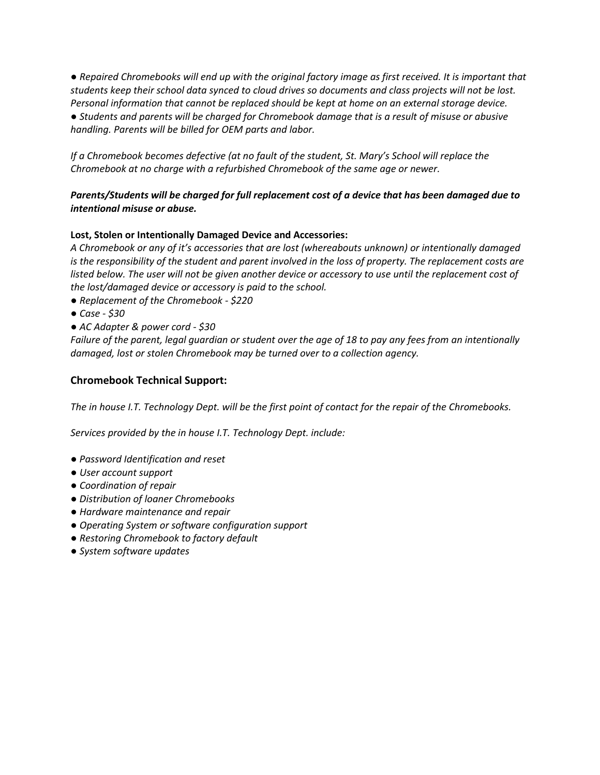*● Repaired Chromebooks will end up with the original factory image as first received. It is important that students keep their school data synced to cloud drives so documents and class projects will not be lost. Personal information that cannot be replaced should be kept at home on an external storage device. ● Students and parents will be charged for Chromebook damage that is a result of misuse or abusive handling. Parents will be billed for OEM parts and labor.*

*If a Chromebook becomes defective (at no fault of the student, St. Mary's School will replace the Chromebook at no charge with a refurbished Chromebook of the same age or newer.*

# *Parents/Students will be charged for full replacement cost of a device that has been damaged due to intentional misuse or abuse.*

# **Lost, Stolen or Intentionally Damaged Device and Accessories:**

*A Chromebook or any of it's accessories that are lost (whereabouts unknown) or intentionally damaged is the responsibility of the student and parent involved in the loss of property. The replacement costs are listed below. The user will not be given another device or accessory to use until the replacement cost of the lost/damaged device or accessory is paid to the school.* 

- *Replacement of the Chromebook - \$220*
- *Case - \$30*
- *AC Adapter & power cord - \$30*

*Failure of the parent, legal guardian or student over the age of 18 to pay any fees from an intentionally damaged, lost or stolen Chromebook may be turned over to a collection agency.*

## **Chromebook Technical Support:**

*The in house I.T. Technology Dept. will be the first point of contact for the repair of the Chromebooks.*

*Services provided by the in house I.T. Technology Dept. include:*

- *Password Identification and reset*
- *User account support*
- *Coordination of repair*
- *Distribution of loaner Chromebooks*
- *Hardware maintenance and repair*
- *Operating System or software configuration support*
- *Restoring Chromebook to factory default*
- *System software updates*